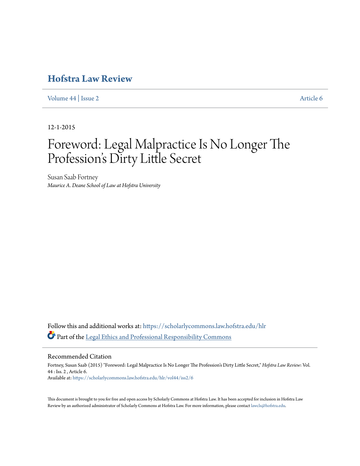## **[Hofstra Law Review](https://scholarlycommons.law.hofstra.edu/hlr?utm_source=scholarlycommons.law.hofstra.edu%2Fhlr%2Fvol44%2Fiss2%2F6&utm_medium=PDF&utm_campaign=PDFCoverPages)**

[Volume 44](https://scholarlycommons.law.hofstra.edu/hlr/vol44?utm_source=scholarlycommons.law.hofstra.edu%2Fhlr%2Fvol44%2Fiss2%2F6&utm_medium=PDF&utm_campaign=PDFCoverPages) | [Issue 2](https://scholarlycommons.law.hofstra.edu/hlr/vol44/iss2?utm_source=scholarlycommons.law.hofstra.edu%2Fhlr%2Fvol44%2Fiss2%2F6&utm_medium=PDF&utm_campaign=PDFCoverPages) [Article 6](https://scholarlycommons.law.hofstra.edu/hlr/vol44/iss2/6?utm_source=scholarlycommons.law.hofstra.edu%2Fhlr%2Fvol44%2Fiss2%2F6&utm_medium=PDF&utm_campaign=PDFCoverPages)

12-1-2015

# Foreword: Legal Malpractice Is No Longer The Profession's Dirty Little Secret

Susan Saab Fortney *Maurice A. Deane School of Law at Hofstra University*

Follow this and additional works at: [https://scholarlycommons.law.hofstra.edu/hlr](https://scholarlycommons.law.hofstra.edu/hlr?utm_source=scholarlycommons.law.hofstra.edu%2Fhlr%2Fvol44%2Fiss2%2F6&utm_medium=PDF&utm_campaign=PDFCoverPages) Part of the [Legal Ethics and Professional Responsibility Commons](http://network.bepress.com/hgg/discipline/895?utm_source=scholarlycommons.law.hofstra.edu%2Fhlr%2Fvol44%2Fiss2%2F6&utm_medium=PDF&utm_campaign=PDFCoverPages)

Recommended Citation

Fortney, Susan Saab (2015) "Foreword: Legal Malpractice Is No Longer The Profession's Dirty Little Secret," *Hofstra Law Review*: Vol. 44 : Iss. 2 , Article 6. Available at: [https://scholarlycommons.law.hofstra.edu/hlr/vol44/iss2/6](https://scholarlycommons.law.hofstra.edu/hlr/vol44/iss2/6?utm_source=scholarlycommons.law.hofstra.edu%2Fhlr%2Fvol44%2Fiss2%2F6&utm_medium=PDF&utm_campaign=PDFCoverPages)

This document is brought to you for free and open access by Scholarly Commons at Hofstra Law. It has been accepted for inclusion in Hofstra Law Review by an authorized administrator of Scholarly Commons at Hofstra Law. For more information, please contact [lawcls@hofstra.edu](mailto:lawcls@hofstra.edu).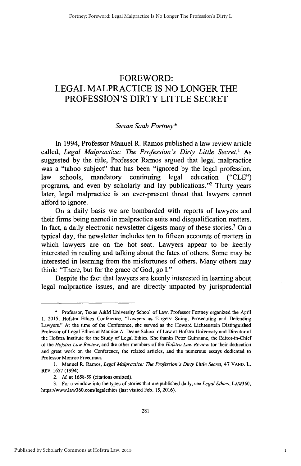### FOREWORD: **LEGAL** MALPRACTICE **IS NO LONGER** THE **PROFESSION'S** DIRTY LITTLE SECRET

#### *Susan Saab Fortney\**

In 1994, Professor Manuel R. Ramos published a law review article called, *Legal Malpractice: The Profession's Dirty Little Secret.' As* suggested **by** the title, Professor Ramos argued that legal malpractice was a "taboo subject" that has been "ignored **by** the legal profession, law schools, mandatory continuing legal education **("CLE")** programs, and even by scholarly and lay publications."<sup>2</sup> Thirty years later, legal malpractice is an ever-present threat that lawyers cannot afford to ignore.

On a daily basis we are bombarded with reports of lawyers and their firms being named in malpractice suits and disqualification matters. In fact, a daily electronic newsletter digests many of these stories.<sup>3</sup> On a typical day, the newsletter includes ten to fifteen accounts of matters in which lawyers are on the hot seat. Lawyers appear to be keenly interested in reading and talking about the fates of others. Some may be interested in learning from the misfortunes of others. Many others may think: "There, but for the grace of God, go **I."**

Despite the fact that lawyers are keenly interested in learning about legal malpractice issues, and are directly impacted **by** jurisprudential

**<sup>\*</sup>** Professor, Texas A&M University School of Law. Professor Fortney organized the April **1, 2015,** Hofstra Ethics Conference, "Lawyers as Targets: Suing, Prosecuting and Defending Lawyers." At the time of the Conference, she served as the Howard Lichtenstein Distinguished Professor of Legal Ethics at Maurice **A.** Deane School of Law at Hofstra University and Director **of** the Hofstra Institute for the Study of Legal Ethics. She thanks Peter Guinnane, the Editor-in-Chief of the *Hofstra Law Review,* and the other members of the *Hofstra Law Review* for their dedication and great work on the Conference, the related articles, and the numerous essays dedicated to Professor Monroe Freedman.

**<sup>1.</sup>** Manuel R. Ramos, *Legal Malpractice: The Profession's Dirty Little Secret, 47* **VAND.** L. REv. **1657** (1994).

*<sup>2.</sup> Id.* at *1658-59* (citations omitted).

**<sup>3.</sup>** For a window into the types of stories that are published daily, see *Legal Ethics,* LAw360, https://www.law360.com/legalethics (last visited Feb. **15, 2016).**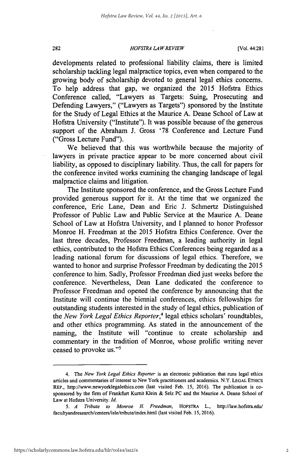#### *HOFSTRA LAW REVIEW* **282** [Vol. 44:281

developments related to professional liability claims, there is limited scholarship tackling legal malpractice topics, even when compared to the growing body of scholarship devoted to general legal ethics concerns. To help address that gap, we organized the **2015** Hofstra Ethics Conference called, "Lawyers as Targets: Suing, Prosecuting and Defending Lawyers," ("Lawyers as Targets") sponsored **by** the Institute for the Study of Legal Ethics at the Maurice **A.** Deane School of Law at Hofstra University ("Institute"). It was possible because of the generous support of the Abraham **J.** Gross **'78** Conference and Lecture Fund ("Gross Lecture Fund").

We believed that this was worthwhile because the majority of lawyers in private practice appear to be more concerned about civil liability, as opposed to disciplinary liability. Thus, the call for papers for the conference invited works examining the changing landscape of legal malpractice claims and litigation.

The Institute sponsored the conference, and the Gross Lecture Fund provided generous support for it. At the time that we organized the conference, Eric Lane, Dean and Eric **J.** Schmertz Distinguished Professor of Public Law and Public Service at the Maurice **A.** Deane School of Law at Hofstra University, and **I** planned to honor Professor Monroe H. Freedman at the **2015** Hofstra Ethics Conference. Over the last three decades, Professor Freedman, a leading authority in legal ethics, contributed to the Hofstra Ethics Conferences being regarded as a leading national forum for discussions of legal ethics. Therefore, we wanted to honor and surprise Professor Freedman **by** dedicating the **2015** conference to him. Sadly, Professor Freedman died just weeks before the conference. Nevertheless, Dean Lane dedicated the conference to Professor Freedman and opened the conference **by** announcing that the Institute will continue the biennial conferences, ethics fellowships for outstanding students interested in the study of legal ethics, publication of the *New York Legal Ethics Reporter,'* legal ethics scholars' roundtables, and other ethics programming. As stated in the announcement of the naming, the Institute will "continue to create scholarship and commentary in the tradition of Monroe, whose prolific writing never ceased to provoke us."'

<sup>4.</sup> The *New York Legal Ethics Reporter* is an electronic publication that runs legal ethics articles and commentaries of interest to New York practitioners and academics. N.Y. **LEGAL** ETHics REP., http://www.newyorklegalethics.com (last visited Feb. **15, 2016).** The publication is cosponsored **by** the **firm** of Frankfurt Kumit Klein **&** Selz **PC** and the Maurice **A.** Deane School of Law at Hofstra University. *Id.*

*<sup>5.</sup> A Tribute to Monroe H. Freedman,* HOFsTRA L., http://law.hofstra.edu/ facultyandresearch/centers/isle/tribute/index.html (last visited Feb. 15, 2016).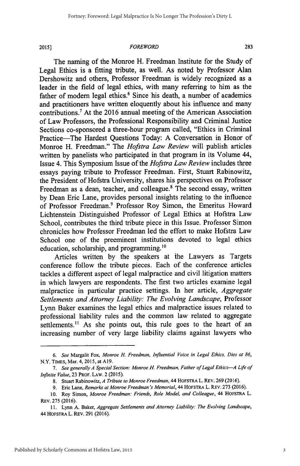#### **2015]** *FOREWORD* **283**

The naming of the Monroe H. Freedman Institute for the Study of Legal Ethics is a fitting tribute, as well. As noted **by** Professor Alan Dershowitz and others, Professor Freedman is widely recognized as a leader in the field of legal ethics, with many referring to him as the father of modern legal ethics.<sup>6</sup> Since his death, a number of academics and practitioners have written eloquently about his influence and many contributions.' At the **2016** annual meeting of the American Association of Law Professors, the Professional Responsibility and Criminal Justice Sections co-sponsored a three-hour program called, "Ethics in Criminal Practice-The Hardest Questions Today: **A** Conversation in Honor of Monroe H. Freedman." The *Hofstra Law Review* will publish articles written **by** panelists who participated in that program in its Volume 44, Issue 4. This Symposium Issue of the *Hofstra Law Review* includes three essays paying tribute to Professor Freedman. First, Stuart Rabinowitz, the President of Hofstra University, shares his perspectives on Professor Freedman as a dean, teacher, and colleague.<sup>8</sup> The second essay, written **by** Dean Eric Lane, provides personal insights relating to the influence of Professor Freedman.<sup>9</sup> Professor Roy Simon, the Emeritus Howard Lichtenstein Distinguished Professor of Legal Ethics at Hofstra Law School, contributes the third tribute piece in this Issue. Professor Simon chronicles how Professor Freedman led the effort to make Hofstra Law School one of the preeminent institutions devoted to legal ethics education, scholarship, and programming.'o

Articles written **by** the speakers at ihe Lawyers as Targets conference follow the tribute pieces. Each of the conference articles tackles a different aspect of legal malpractice and civil litigation matters in which lawyers are respondents. The first two articles examine legal malpractice in particular practice settings. In her article, *Aggregate Settlements and Attorney Liability: The Evolving Landscape, Professor* Lynn Baker examines the legal ethics and malpractice issues related to professional liability rules and the common law related to aggregate settlements.<sup>11</sup> As she points out, this rule goes to the heart of an increasing number of very large liability claims against lawyers who

*<sup>6.</sup> See* Margalit Fox, *Monroe H. Freedman, Influential Voice in Legal Ethics, Dies at 86,* N.Y. **TIMES,** Mar. 4, **2015,** at **A19.**

*<sup>7.</sup> See generally A Special Section: Monroe H. Freedman, Father of Legal Ethics-A Life of Infinite Value,* **23** PROF. **LAW.** 2 **(2015).**

**<sup>8.</sup>** Stuart Rabinowitz, *A Tribute to Monroe Freedman,* 44 HOFSTRA L. REV. **269 (2016).**

*<sup>9.</sup>* Eric Lane, *Remarks at Monroe Freedman's Memorial,* 44 HOFSTRA L. REV. **273 (2016).**

**<sup>10.</sup>** Roy Simon, *Monroe Freedman: Friends, Role Model, and Colleague,* 44 HoFSTRA L. REV. **275 (2016).**

**<sup>11.</sup>** Lynn **A.** Baker, *Aggregate Settlements and Attorney Liability: The Evolving Landscape,* 44 **HOFSTRA** L. REV. **291 (2016).**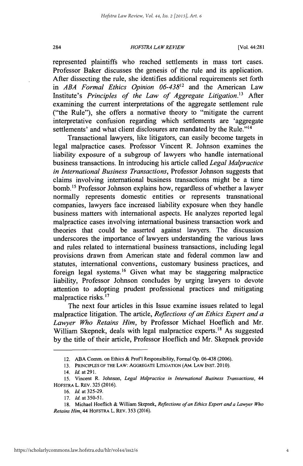#### *HOFSTRA LAW REVIEW* 284 [Vol. 44:281

represented plaintiffs who reached settlements in mass tort cases. Professor Baker discusses the genesis of the rule and its application. After dissecting the rule, she identifies additional requirements set forth *in ABA Formal Ethics Opinion 06-43812* and the American Law Institute's *Principles of the Law of Aggregate Litigation." After* examining the current interpretations of the aggregate settlement rule ("the Rule"), she offers a normative theory to "mitigate the current interpretative confusion regarding which settlements are 'aggregate settlements' and what client disclosures are mandated **by** the Rule."l<sup>4</sup>

Transactional lawyers, like litigators, can easily become targets in legal malpractice cases. Professor Vincent R. Johnson examines the liability exposure of a subgroup of lawyers who handle international business transactions. In introducing his article called *Legal Malpractice in International Business Transactions,* Professor Johnson suggests that claims involving international business transactions might be a time bomb.<sup>15</sup> Professor Johnson explains how, regardless of whether a lawyer normally represents domestic entities or represents transnational companies, lawyers face increased liability exposure when they handle business matters with international aspects. He analyzes reported legal malpractice cases involving international business transaction work and theories that could be asserted against lawyers. The discussion underscores the importance of lawyers understanding the various laws and rules related to international business transactions, including legal provisions drawn from American state and federal common law and statutes, international conventions, customary business practices, and foreign legal systems.<sup>16</sup> Given what may be staggering malpractice liability, Professor Johnson concludes **by** urging lawyers to devote attention to adopting prudent professional practices and mitigating malpractice risks.<sup>17</sup>

The next four articles in this Issue examine issues related to legal malpractice litigation. The article, *Reflections of an Ethics Expert and a Lawyer Who Retains Him,* **by** Professor Michael Hoeflich and Mr. William Skepnek, deals with legal malpractice experts.<sup>18</sup> As suggested **by** the title of their article, Professor Hoeflich and Mr. Skepnek provide

<sup>12.</sup> **ABA** Comm. on Ethics **&** Prof **I** Responsibility, Formal **Op. 06-438 (2006).**

**<sup>13.</sup>** PRINCIPLES OF THE LAW: **AGGREGATE LITIGATION** (AM. LAW **INST. 2010).**

<sup>14.</sup> *Id.* at **291.**

*<sup>15.</sup>* Vincent R. Johnson, *Legal Malpractice in International Business Transactions, 44* HOFSTRA L. REV. **325 (2016).**

*<sup>16.</sup> Id.* at **325-29.**

**<sup>17.</sup>** *Id.* at **350-51.**

**<sup>18.</sup>** Michael Hoeflich **&** William Skepnek, *Reflections of an Ethics Expert and a Lawyer Who Retains Him,* 44 HOFSTRA L. REV. **353 (2016).**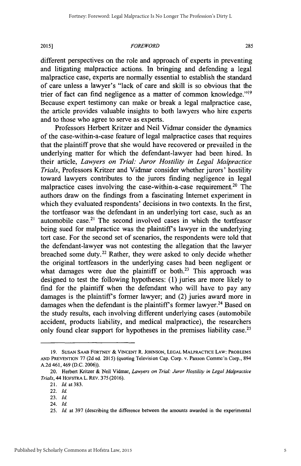#### **2015]1** *FOREWORD* **285**

different perspectives on the role and approach of experts in preventing and litigating malpractice actions. In bringing and defending a legal malpractice case, experts are normally essential to establish the standard of care unless a lawyer's "lack of care and skill is so obvious that the trier of fact can find negligence as a matter of common knowledge."<sup>19</sup> Because expert testimony can make or break a legal malpractice case, the article provides valuable insights to both lawyers who hire experts and to those who agree to serve as experts.

Professors Herbert Kritzer and Neil Vidmar consider the dynamics of the case-within-a-case feature of legal malpractice cases that requires that the plaintiff prove that she would have recovered or prevailed in the underlying matter for which the defendant-lawyer had been hired. In their article, *Lawyers on Trial: Juror Hostility in Legal Malpractice Trials,* Professors Kritzer and Vidmar consider whether jurors' hostility toward lawyers contributes to the jurors finding negligence in legal malpractice cases involving the case-within-a-case requirement.<sup>20</sup> The authors draw on the findings from a fascinating Internet experiment in which they evaluated respondents' decisions in two contexts. In the first, the tortfeasor was the defendant in an underlying tort case, such as an automobile case.<sup>21</sup> The second involved cases in which the tortfeasor being sued for malpractice was the plaintiff's lawyer in the underlying tort case. For the second set of scenarios, the respondents were told that the defendant-lawyer was not contesting the allegation that the lawyer breached some duty.<sup>22</sup> Rather, they were asked to only decide whether the original tortfeasors in the underlying cases had been negligent or what damages were due the plaintiff or both.<sup>23</sup> This approach was designed to test the following hypotheses: **(1)** juries are more likely to find for the plaintiff when the defendant who will have to pay any damages is the plaintiff's former lawyer; and (2) juries award more in damages when the defendant is the plaintiff's former lawyer.<sup>24</sup> Based on the study results, each involving different underlying cases (automobile accident, products liability, and medical malpractice), the researchers only found clear support for hypotheses in the premises liability case.<sup>25</sup>

**<sup>19.</sup> SUSAN SAAB FORTNEY & VINCENT** R. **JOHNSON, LEGAL MALPRACTICE LAW: PROBLEMS AND PREVENTION 77 (2d** ed. **2015)** (quoting Television Cap. Corp. v. Paxson Comme'n Corp., 894 **A.2d** 461, 469 **(D.C. 2006)).**

<sup>20.</sup> Herbert Kritzer **&** Neil Vidmar, *Lawyers on Trial: Juror Hostility in Legal Malpractice Trials,* 44 HOFSTRA L. REV. **375 (2016).**

<sup>21.</sup> *Id.* at **383.**

<sup>22.</sup> *Id.*

**<sup>23.</sup>** *Id.*

<sup>24.</sup> *Id*

**<sup>25.</sup>** *Id* at **397** (describing the difference between the amounts awarded in the experimental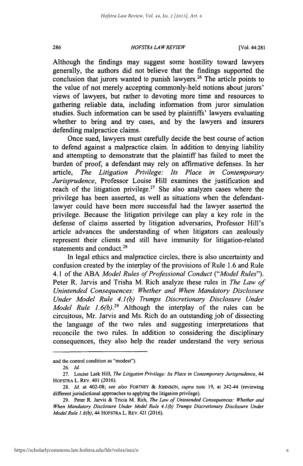#### *HOFSTRA LA WREVIEW* **286** [Vol. 44:281

Although the findings may suggest some hostility toward lawyers generally, the authors did not believe that the findings supported the conclusion that jurors wanted to punish lawyers.<sup>26</sup> The article points to the value of not merely accepting commonly-held notions about jurors' views of lawyers, but rather to devoting more time and resources to gathering reliable data, including information from juror simulation studies. Such information can be used **by** plaintiffs' lawyers evaluating whether to bring and try cases, and **by** the lawyers and insurers defending malpractice claims.

Once sued, lawyers must carefully decide the best course of action to defend against a malpractice claim. In addition to denying liability and attempting to demonstrate that the plaintiff has failed to meet the burden of proof, a defendant may rely on affirmative defenses. In her article, *The Litigation Privilege: Its Place in Contemporary Jurisprudence,* Professor Louise Hill examines the justification and reach of the litigation privilege.<sup>27</sup> She also analyzes cases where the privilege has been asserted, as well as situations when the defendantlawyer could have been more successful had the lawyer asserted the privilege. Because the litigation privilege can play a key role in the defense of claims asserted **by** litigation adversaries, Professor Hill's article advances the understanding of when litigators can zealously represent their clients and still have immunity for litigation-related statements and conduct.<sup>28</sup>

In legal ethics and malpractice circles, there is also uncertainty and confusion created **by** the interplay of the provisions of Rule **1.6** and Rule 4.1 of the **ABA** *Model Rules of Professional Conduct ("Model Rules").* Peter R. Jarvis and Trisha M. Rich analyze these rules in *The Law of Unintended Consequences: Whether and When Mandatory Disclosure Under Model Rule 4.1(b) Trumps Discretionary Disclosure Under Model Rule*  $1.6(b)$ *.<sup>29</sup>* Although the interplay of the rules can be circuitous, Mr. Jarvis and Ms. Rich do an outstanding **job** of dissecting the language of the two rules and suggesting interpretations that reconcile the two rules. In addition to considering the disciplinary consequences, they also help the reader understand the very serious

and the control condition as "modest").

**<sup>26.</sup>** *Id.*

**<sup>27.</sup>** Louise Lark Hill, *The Litigation Privilege: Its Place in Contemporary Jursprudence, 44* HOFSTRA L. **REV.** 401 **(2016).**

**<sup>28.</sup>** *Id.* at 402-08; *see also* FORTNEY **&** *JOHNSON, supra* note **19,** at 242-44 (reviewing different jurisdictional approaches to applying the litigation privilege).

**<sup>29.</sup>** Peter R. Jarvis **&** Tricia M. Rich, *The Law of Unintended Consequences: Whether and When Mandatory Disclosure Under Model Rule 4.1(b) Trumps Discretionary Disclosure Under Model Rule 1.6(b), 44* HOFSTRA L. REv. 421 **(2016).**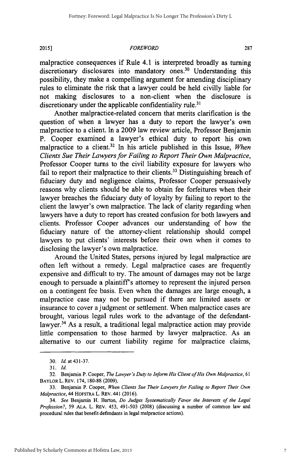**2015]** FOREWORD **287**

malpractice consequences if Rule 4.1 is interpreted broadly as turning discretionary disclosures into mandatory ones.<sup>30</sup> Understanding this possibility, they make a compelling argument for amending disciplinary rules to eliminate the risk that a lawyer could be held civilly liable for not making disclosures to a non-client when the disclosure is discretionary under the applicable confidentiality rule.<sup>31</sup>

Another malpractice-related concern that merits clarification is the question of when a lawyer has a duty to report the lawyer's own malpractice to a client. In a **2009** law review article, Professor Benjamin P. Cooper examined a lawyer's ethical duty to report his own malpractice to a client.<sup>32</sup> In his article published in this Issue, *When Clients Sue Their Lawyers for Failing to Report Their Own Malpractice,* Professor Cooper turns to the civil liability exposure for lawyers who fail to report their malpractice to their clients.<sup>33</sup> Distinguishing breach of fiduciary duty and negligence claims, Professor Cooper persuasively reasons why clients should be able to obtain fee forfeitures when their lawyer breaches the fiduciary duty of loyalty **by** failing to report to the client the lawyer's own malpractice. The lack of clarity regarding when lawyers have a duty to report has created confusion for both lawyers and clients. Professor Cooper advances our understanding of how the fiduciary nature of the attorney-client relationship should compel lawyers to put clients' interests before their own when it comes to disclosing the lawyer's own malpractice.

Around the United States, persons injured **by** legal malpractice are often left without a remedy. Legal malpractice cases are frequently expensive and difficult to try. The amount of damages may not be large enough to persuade a plaintiff's attorney to represent the injured person on a contingent fee basis. Even when the damages are large enough, a malpractice case may not be pursued if there are limited assets or insurance to cover a judgment or settlement. When malpractice cases are brought, various legal rules work to the advantage of the defendantlawyer.<sup>34</sup> As a result, a traditional legal malpractice action may provide little compensation to those harmed **by** lawyer malpractice. As an alternative to our current liability regime for malpractice claims,

7

*<sup>30.</sup> Id.* at 431-37.

**<sup>3</sup>***1. Id.*

**<sup>32.</sup>** Benjamin P. Cooper, *The Lawyer's Duty to Inform His Client ofHis Own Malpractice, <sup>61</sup>* **BAYLOR** L. REV. **174, 180-88 (2009).**

**<sup>33.</sup>** Benjamin P. Cooper, *When Clients Sue Their Lawyers for Failing to Report Their Own Malpractice,* 44 **HOFSTRA** L. REV. 441 **(2016).**

*<sup>34.</sup> See* Benjamin H. Barton, *Do Judges Systematically Favor the Interests of the Legal Profession?,* **59 ALA.** L. REV. 453, 491-503 **(2008)** (discussing a number of common law and procedural rules that benefit defendants in legal malpractice actions).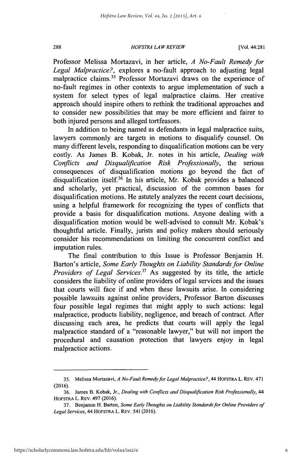#### *HOFSTRA LAW REVIEW* **288** [Vol. 44:281

Professor Melissa Mortazavi, in her article, *A No-Fault Remedy for Legal Malpractice?,* explores a no-fault approach to adjusting legal malpractice claims.<sup>35</sup> Professor Mortazavi draws on the experience of no-fault regimes in other contexts to argue implementation of such a system for select types of legal malpractice claims. Her creative approach should inspire others to rethink the traditional approaches and to consider new possibilities that may be more efficient and fairer to both injured persons and alleged tortfeasors.

In addition to being named as defendants in legal malpractice suits, lawyers commonly are targets in motions to disqualify counsel. On many different levels, responding to disqualification motions can be very costly. As James B. Kobak, Jr. notes in his article, *Dealing with Conflicts and Disqualification Risk Professionally,* the serious consequences of disqualification motions go beyond the fact of disqualification itself.<sup>36</sup> In his article, Mr. Kobak provides a balanced and scholarly, yet practical, discussion of the common bases for disqualification motions. He astutely analyzes the recent court decisions, using a helpful framework for recognizing the types of conflicts that provide a basis for disqualification motions. Anyone dealing with a disqualification motion would be well-advised to consult Mr. Kobak's thoughtful article. Finally, jurists and policy makers should seriously consider his recommendations on limiting the concurrent conflict and imputation rules.

The final contribution to this Issue is Professor Benjamin H. Barton's article, *Some Early Thoughts on Liability Standards for Online Providers of Legal Services."* As suggested **by** its title, the article considers the liability of online providers of legal services and the issues that courts will face if and when these lawsuits arise. In considering possible lawsuits against online providers, Professor Barton discusses four possible legal regimes that might apply to such actions: legal malpractice, products liability, negligence, and breach of contract. After discussing each area, he predicts that courts will apply the legal malpractice standard of a "reasonable lawyer," but will not import the procedural and causation protection that lawyers enjoy in legal malpractice actions.

**<sup>35.</sup>** Melissa Mortazavi, *A No-Fault Remedy for Legal Malpractice?,* 44 HOFSTRA L. REV. 471 **(2016).**

**<sup>36.</sup>** James B. Kobak, Jr., *Dealing with Conflicts and Disqualification Risk Professionally, 44* **HOFSTRA L.** REV. 497 **(2016).**

**<sup>37.</sup>** Benjamin H. Barton, *Some Early Thoughts on Liability Standards for Online Providers of Legal Services,* 44 HoFSTRA L. REV. *541* **(2016).**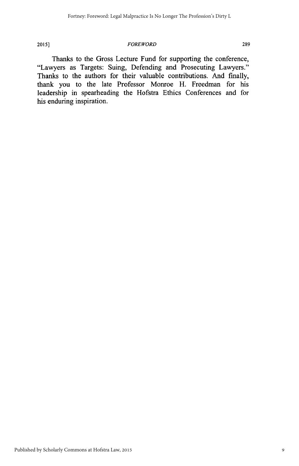#### **2015]** *FOREWORD* **289**

Thanks to the Gross Lecture Fund for supporting the conference, "Lawyers as Targets: Suing, Defending and Prosecuting Lawyers." Thanks to the authors for their valuable contributions. And finally, thank you to the late Professor Monroe H. Freedman for his leadership in spearheading the Hofstra Ethics Conferences and for his enduring inspiration.